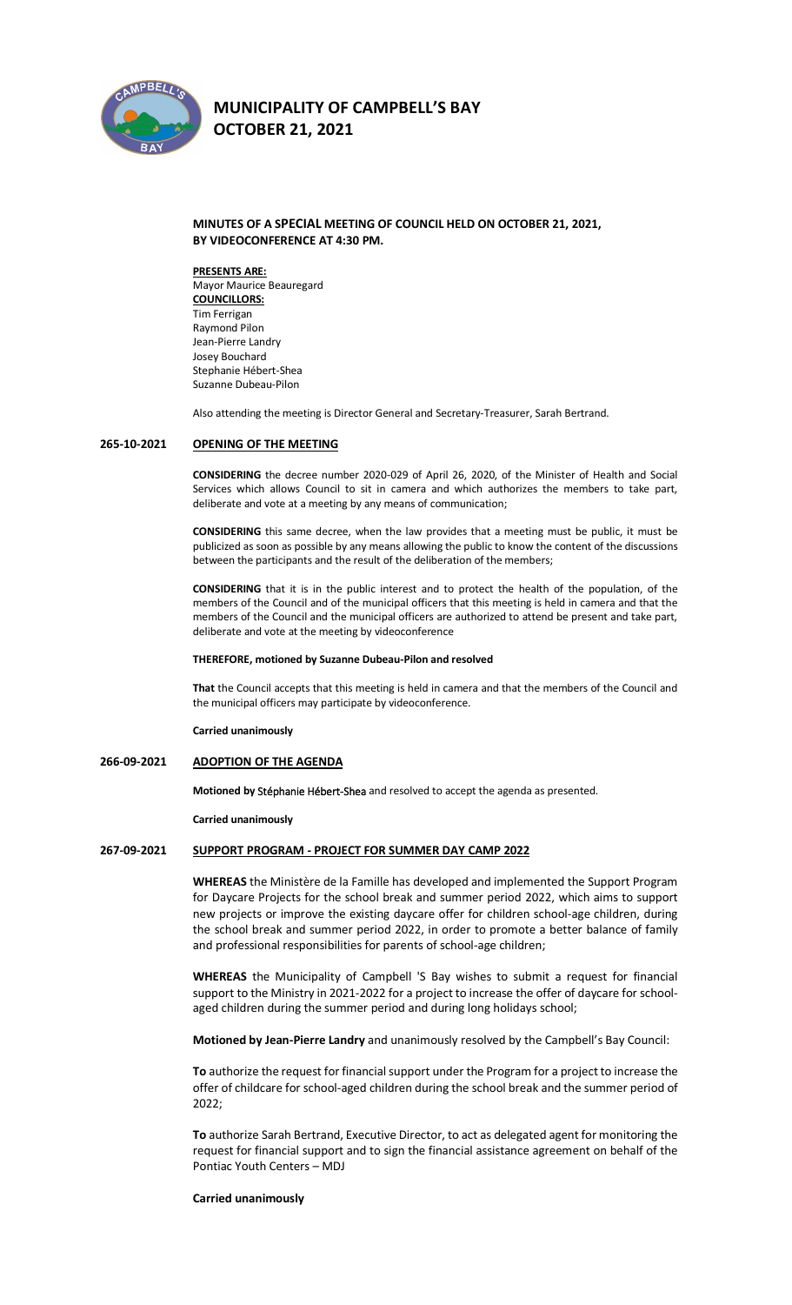

# **MUNICIPALITY OF CAMPBELL'S BAY**

**OCTOBER 21, 2021** 

#### **MINUTES OF A SPECIAL MEETING OF COUNCIL HELD ON OCTOBER 21, 2021, BY VIDEOCONFERENCE AT 4:30 PM.**

#### **PRESENTS ARE:**

Mayor Maurice Beauregard **COUNCILLORS:** Tim Ferrigan Raymond Pilon Jean-Pierre Landry Josey Bouchard Stephanie Hébert-Shea Suzanne Dubeau-Pilon

Also attending the meeting is Director General and Secretary-Treasurer, Sarah Bertrand.

#### **265-10-2021 OPENING OF THE MEETING**

**CONSIDERING** the decree number 2020-029 of April 26, 2020, of the Minister of Health and Social Services which allows Council to sit in camera and which authorizes the members to take part, deliberate and vote at a meeting by any means of communication;

**CONSIDERING** this same decree, when the law provides that a meeting must be public, it must be publicized as soon as possible by any means allowing the public to know the content of the discussions between the participants and the result of the deliberation of the members;

**CONSIDERING** that it is in the public interest and to protect the health of the population, of the members of the Council and of the municipal officers that this meeting is held in camera and that the members of the Council and the municipal officers are authorized to attend be present and take part, deliberate and vote at the meeting by videoconference

#### **THEREFORE, motioned by Suzanne Dubeau-Pilon and resolved**

**That** the Council accepts that this meeting is held in camera and that the members of the Council and the municipal officers may participate by videoconference.

**Carried unanimously**

#### **266-09-2021 ADOPTION OF THE AGENDA**

**Motioned by Stéphanie Hébert-Shea** and resolved to accept the agenda as presented.

**Carried unanimously**

#### **267-09-2021 SUPPORT PROGRAM - PROJECT FOR SUMMER DAY CAMP 2022**

**WHEREAS** the Ministère de la Famille has developed and implemented the Support Program for Daycare Projects for the school break and summer period 2022, which aims to support new projects or improve the existing daycare offer for children school-age children, during the school break and summer period 2022, in order to promote a better balance of family and professional responsibilities for parents of school-age children;

**WHEREAS** the Municipality of Campbell 'S Bay wishes to submit a request for financial support to the Ministry in 2021-2022 for a project to increase the offer of daycare for schoolaged children during the summer period and during long holidays school;

**Motioned by Jean-Pierre Landry** and unanimously resolved by the Campbell's Bay Council:

**To** authorize the request for financial support under the Program for a project to increase the offer of childcare for school-aged children during the school break and the summer period of 2022;

**To** authorize Sarah Bertrand, Executive Director, to act as delegated agent for monitoring the request for financial support and to sign the financial assistance agreement on behalf of the Pontiac Youth Centers – MDJ

#### **Carried unanimously**